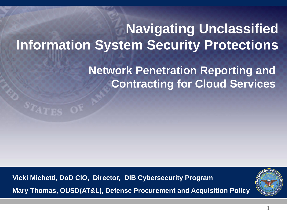# **Navigating Unclassified Information System Security Protections**

**Network Penetration Reporting and Contracting for Cloud Services**

**Vicki Michetti, DoD CIO, Director, DIB Cybersecurity Program Mary Thomas, OUSD(AT&L), Defense Procurement and Acquisition Policy**

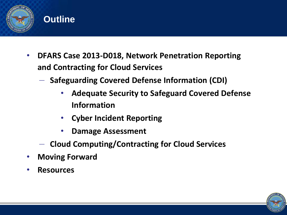

- **DFARS Case 2013-D018, Network Penetration Reporting and Contracting for Cloud Services**
	- **Safeguarding Covered Defense Information (CDI)**
		- **Adequate Security to Safeguard Covered Defense Information**
		- **Cyber Incident Reporting**
		- **Damage Assessment**
	- **Cloud Computing/Contracting for Cloud Services**
- **Moving Forward**
- **Resources**

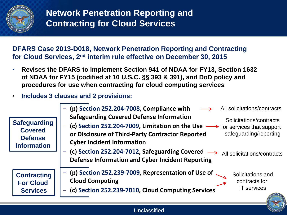

**Network Penetration Reporting and Contracting for Cloud Services** 

**DFARS Case 2013-D018, Network Penetration Reporting and Contracting for Cloud Services, 2nd interim rule effective on December 30, 2015**

- **Revises the DFARS to implement Section 941 of NDAA for FY13, Section 1632 of NDAA for FY15 (codified at 10 U.S.C. §§ 393 & 391), and DoD policy and procedures for use when contracting for cloud computing services**
- **Includes 3 clauses and 2 provisions:**

| <b>Safeguarding</b><br><b>Covered</b><br><b>Defense</b><br><b>Information</b> | - (p) Section 252.204-7008, Compliance with<br>All solicitations/contracts<br><b>Safeguarding Covered Defense Information</b><br>Solicitations/contracts<br>(c) Section 252.204-7009, Limitation on the Use<br>$\rightarrow$ for services that support<br>safeguarding/reporting<br>or Disclosure of Third-Party Contractor Reported<br><b>Cyber Incident Information</b><br>(c) Section 252.204-7012, Safeguarding Covered<br>All solicitations/contracts<br><b>Defense Information and Cyber Incident Reporting</b> |
|-------------------------------------------------------------------------------|-----------------------------------------------------------------------------------------------------------------------------------------------------------------------------------------------------------------------------------------------------------------------------------------------------------------------------------------------------------------------------------------------------------------------------------------------------------------------------------------------------------------------|
| <b>Contracting</b><br><b>For Cloud</b><br><b>Services</b>                     | - (p) Section 252.239-7009, Representation of Use of<br>Solicitations and<br><b>Cloud Computing</b><br>contracts for<br><b>IT</b> services<br>(c) Section 252.239-7010, Cloud Computing Services                                                                                                                                                                                                                                                                                                                      |

#### Unclassified

3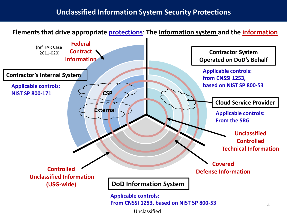#### **Unclassified Information System Security Protections**

#### **Elements that drive appropriate protections**: **The information system and the information**

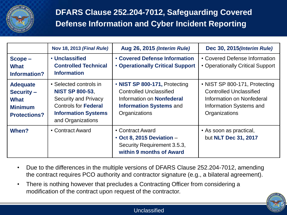

### **DFARS Clause 252.204-7012, Safeguarding Covered Defense Information and Cyber Incident Reporting**

|                                                                                              | Nov 18, 2013 (Final Rule)                                                                                                                                         | Aug 26, 2015 (Interim Rule)                                                                                                                            | Dec 30, 2015 (Interim Rule)                                                                                                              |
|----------------------------------------------------------------------------------------------|-------------------------------------------------------------------------------------------------------------------------------------------------------------------|--------------------------------------------------------------------------------------------------------------------------------------------------------|------------------------------------------------------------------------------------------------------------------------------------------|
| Scope -<br><b>What</b><br>Information?                                                       | <b>• Unclassified</b><br><b>Controlled Technical</b><br><b>Information</b>                                                                                        | <b>• Covered Defense Information</b><br><b>• Operationally Critical Support</b>                                                                        | • Covered Defense Information<br>• Operationally Critical Support                                                                        |
| <b>Adequate</b><br><b>Security -</b><br><b>What</b><br><b>Minimum</b><br><b>Protections?</b> | • Selected controls in<br><b>NIST SP 800-53,</b><br><b>Security and Privacy</b><br><b>Controls for Federal</b><br><b>Information Systems</b><br>and Organizations | • NIST SP 800-171, Protecting<br><b>Controlled Unclassified</b><br>Information on <b>Nonfederal</b><br><b>Information Systems and</b><br>Organizations | • NIST SP 800-171, Protecting<br><b>Controlled Unclassified</b><br>Information on Nonfederal<br>Information Systems and<br>Organizations |
| When?                                                                                        | • Contract Award                                                                                                                                                  | • Contract Award<br>$\cdot$ Oct 8, 2015 Deviation -<br>Security Requirement 3.5.3,<br>within 9 months of Award                                         | • As soon as practical,<br>but NLT Dec 31, 2017                                                                                          |

- Due to the differences in the multiple versions of DFARS Clause 252.204-7012, amending the contract requires PCO authority and contractor signature (e.g., a bilateral agreement).
- There is nothing however that precludes a Contracting Officer from considering a modification of the contract upon request of the contractor.

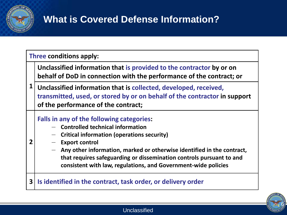

**2**

## **What is Covered Defense Information?**

**Three conditions apply:**

**Unclassified information that is provided to the contractor by or on behalf of DoD in connection with the performance of the contract; or**

**1 Unclassified information that is collected, developed, received, transmitted, used, or stored by or on behalf of the contractor in support of the performance of the contract;** 

**Falls in any of the following categories:**

- **Controlled technical information**
- **Critical information (operations security)**
- **Export control**
	- **Any other information, marked or otherwise identified in the contract, that requires safeguarding or dissemination controls pursuant to and consistent with law, regulations, and Government-wide policies**

**3 Is identified in the contract, task order, or delivery order**

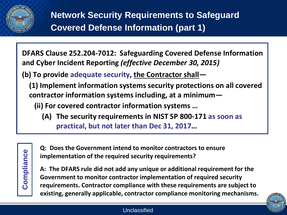

**DFARS Clause 252.204-7012: Safeguarding Covered Defense Information and Cyber Incident Reporting** *(effective December 30, 2015)*

**(b) To provide adequate security, the Contractor shall—**

- **(1) Implement information systems security protections on all covered contractor information systems including, at a minimum—**
	- **(ii) For covered contractor information systems …**
		- **(A) The security requirements in NIST SP 800-171 as soon as practical, but not later than Dec 31, 2017…**

**Q: Does the Government intend to monitor contractors to ensure implementation of the required security requirements?**

**A: The DFARS rule did not add any unique or additional requirement for the Government to monitor contractor implementation of required security requirements. Contractor compliance with these requirements are subject to existing, generally applicable, contractor compliance monitoring mechanisms.**

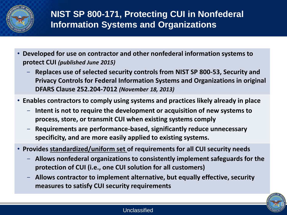

### **NIST SP 800-171, Protecting CUI in Nonfederal Information Systems and Organizations**

- **Developed for use on contractor and other nonfederal information systems to protect CUI** *(published June 2015)*
	- **Replaces use of selected security controls from NIST SP 800-53, Security and Privacy Controls for Federal Information Systems and Organizations in original DFARS Clause 252.204-7012** *(November 18, 2013)*
- **Enables contractors to comply using systems and practices likely already in place**
	- **Intent is not to require the development or acquisition of new systems to process, store, or transmit CUI when existing systems comply**
	- **Requirements are performance-based, significantly reduce unnecessary specificity, and are more easily applied to existing systems.**
- **Provides standardized/uniform set of requirements for all CUI security needs** 
	- **Allows nonfederal organizations to consistently implement safeguards for the protection of CUI (i.e., one CUI solution for all customers)**
	- **Allows contractor to implement alternative, but equally effective, security measures to satisfy CUI security requirements**

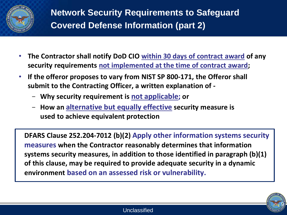

- **The Contractor shall notify DoD CIO within 30 days of contract award of any security requirements not implemented at the time of contract award;**
- **If the offeror proposes to vary from NIST SP 800-171, the Offeror shall submit to the Contracting Officer, a written explanation of -**
	- **Why security requirement is not applicable; or**
	- **How an alternative but equally effective security measure is used to achieve equivalent protection**

**DFARS Clause 252.204-7012 (b)(2) Apply other information systems security measures when the Contractor reasonably determines that information systems security measures, in addition to those identified in paragraph (b)(1) of this clause, may be required to provide adequate security in a dynamic environment based on an assessed risk or vulnerability.**

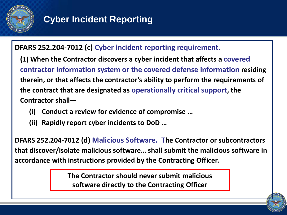

#### **DFARS 252.204-7012 (c) Cyber incident reporting requirement.**

**(1) When the Contractor discovers a cyber incident that affects a covered contractor information system or the covered defense information residing therein, or that affects the contractor's ability to perform the requirements of the contract that are designated as operationally critical support, the Contractor shall—**

- **(i) Conduct a review for evidence of compromise …**
- **(ii) Rapidly report cyber incidents to DoD …**

**DFARS 252.204-7012 (d) Malicious Software. The Contractor or subcontractors that discover/isolate malicious software… shall submit the malicious software in accordance with instructions provided by the Contracting Officer.**

> **The Contractor should never submit malicious software directly to the Contracting Officer**

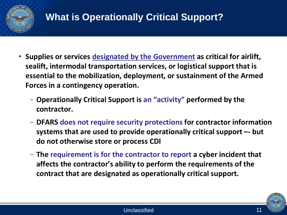

- **Supplies or services designated by the Government as critical for airlift, sealift, intermodal transportation services, or logistical support that is essential to the mobilization, deployment, or sustainment of the Armed Forces in a contingency operation.**
	- **Operationally Critical Support is an "activity" performed by the contractor.**
	- **DFARS does not require security protections for contractor information systems that are used to provide operationally critical support –- but do not otherwise store or process CDI**
	- **The requirement is for the contractor to report a cyber incident that affects the contractor's ability to perform the requirements of the contract that are designated as operationally critical support.**

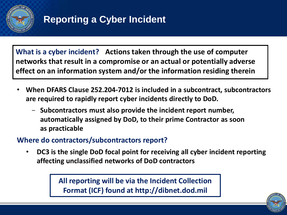

**What is a cyber incident? Actions taken through the use of computer networks that result in a compromise or an actual or potentially adverse effect on an information system and/or the information residing therein**

- **When DFARS Clause 252.204-7012 is included in a subcontract, subcontractors are required to rapidly report cyber incidents directly to DoD.** 
	- **Subcontractors must also provide the incident report number, automatically assigned by DoD, to their prime Contractor as soon as practicable**

#### **Where do contractors/subcontractors report?**

• **DC3 is the single DoD focal point for receiving all cyber incident reporting affecting unclassified networks of DoD contractors**

> **All reporting will be via the Incident Collection Format (ICF) found at http://dibnet.dod.mil**

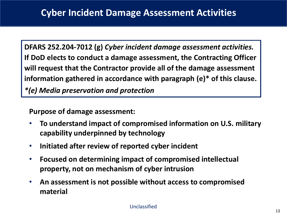**DFARS 252.204-7012 (g)** *Cyber incident damage assessment activities.*  **If DoD elects to conduct a damage assessment, the Contracting Officer will request that the Contractor provide all of the damage assessment information gathered in accordance with paragraph (e)\* of this clause.** *\*(e) Media preservation and protection* 

**Purpose of damage assessment:**

- **To understand impact of compromised information on U.S. military capability underpinned by technology**
- **Initiated after review of reported cyber incident**
- **Focused on determining impact of compromised intellectual property, not on mechanism of cyber intrusion**
- **An assessment is not possible without access to compromised material**

#### Unclassified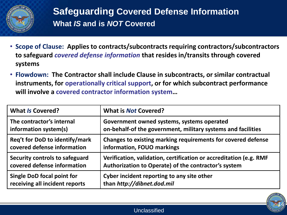

### **Safeguarding Covered Defense Information What** *IS* **and is** *NOT* **Covered**

- **Scope of Clause: Applies to contracts/subcontracts requiring contractors/subcontractors to safeguard** *covered defense information* **that resides in/transits through covered systems**
- **Flowdown: The Contractor shall include Clause in subcontracts, or similar contractual instruments, for operationally critical support, or for which subcontract performance will involve a covered contractor information system…**

| <b>What Is Covered?</b>        | <b>What is Not Covered?</b>                                        |  |
|--------------------------------|--------------------------------------------------------------------|--|
| The contractor's internal      | Government owned systems, systems operated                         |  |
| information system(s)          | on-behalf-of the government, military systems and facilities       |  |
| Req't for DoD to identify/mark | Changes to existing marking requirements for covered defense       |  |
| covered defense information    | information, FOUO markings                                         |  |
| Security controls to safeguard | Verification, validation, certification or accreditation (e.g. RMF |  |
| covered defense information    | Authorization to Operate) of the contractor's system               |  |
| Single DoD focal point for     | Cyber incident reporting to any site other                         |  |
| receiving all incident reports | than http://dibnet.dod.mil                                         |  |

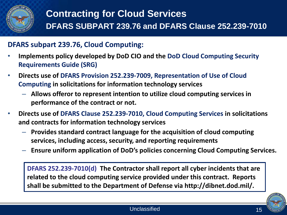

## **Contracting for Cloud Services DFARS SUBPART 239.76 and DFARS Clause 252.239-7010**

#### **DFARS subpart 239.76, Cloud Computing:**

- **Implements policy developed by DoD CIO and the DoD Cloud Computing Security Requirements Guide (SRG)**
- **Directs use of DFARS Provision 252.239-7009, Representation of Use of Cloud Computing in solicitations for information technology services**
	- **Allows offeror to represent intention to utilize cloud computing services in performance of the contract or not.**
- **Directs use of DFARS Clause 252.239-7010, Cloud Computing Services in solicitations and contracts for information technology services**
	- **Provides standard contract language for the acquisition of cloud computing services, including access, security, and reporting requirements**
	- **Ensure uniform application of DoD's policies concerning Cloud Computing Services.**

**DFARS 252.239-7010(d) The Contractor shall report all cyber incidents that are related to the cloud computing service provided under this contract. Reports shall be submitted to the Department of Defense via http://dibnet.dod.mil/.**

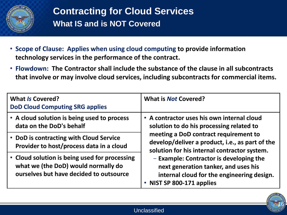

- **Scope of Clause: Applies when using cloud computing to provide information technology services in the performance of the contract.**
- **Flowdown: The Contractor shall include the substance of the clause in all subcontracts that involve or may involve cloud services, including subcontracts for commercial items.**

| <b>What Is Covered?</b><br><b>DoD Cloud Computing SRG applies</b>                                                               | <b>What is Not Covered?</b>                                                                                                                                                                                                                                                                          |  |
|---------------------------------------------------------------------------------------------------------------------------------|------------------------------------------------------------------------------------------------------------------------------------------------------------------------------------------------------------------------------------------------------------------------------------------------------|--|
| • A cloud solution is being used to process<br>data on the DoD's behalf                                                         | • A contractor uses his own internal cloud<br>solution to do his processing related to                                                                                                                                                                                                               |  |
| • DoD is contracting with Cloud Service<br>Provider to host/process data in a cloud                                             | meeting a DoD contract requirement to<br>develop/deliver a product, i.e., as part of the<br>solution for his internal contractor system.<br>- Example: Contractor is developing the<br>next generation tanker, and uses his<br>internal cloud for the engineering design.<br>NIST SP 800-171 applies |  |
| • Cloud solution is being used for processing<br>what we (the DoD) would normally do<br>ourselves but have decided to outsource |                                                                                                                                                                                                                                                                                                      |  |

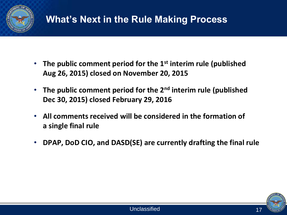

- **The public comment period for the 1st interim rule (published Aug 26, 2015) closed on November 20, 2015**
- **The public comment period for the 2nd interim rule (published Dec 30, 2015) closed February 29, 2016**
- **All comments received will be considered in the formation of a single final rule**
- **DPAP, DoD CIO, and DASD(SE) are currently drafting the final rule**

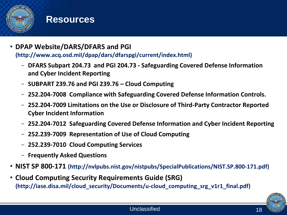

### **Resources**

- **DPAP Website/DARS/DFARS and PGI (http://www.acq.osd.mil/dpap/dars/dfarspgi/current/index.html)**
	- **DFARS Subpart 204.73 and PGI 204.73 - Safeguarding Covered Defense Information and Cyber Incident Reporting**
	- **SUBPART 239.76 and PGI 239.76 – Cloud Computing**
	- **252.204-7008 Compliance with Safeguarding Covered Defense Information Controls.**
	- **252.204-7009 Limitations on the Use or Disclosure of Third-Party Contractor Reported Cyber Incident Information**
	- **252.204-7012 Safeguarding Covered Defense Information and Cyber Incident Reporting**
	- **252.239-7009 Representation of Use of Cloud Computing**
	- **252.239-7010 Cloud Computing Services**
	- **Frequently Asked Questions**
- **NIST SP 800-171 (http://nvlpubs.nist.gov/nistpubs/SpecialPublications/NIST.SP.800-171.pdf)**
- **Cloud Computing Security Requirements Guide (SRG) (http://iase.disa.mil/cloud\_security/Documents/u-cloud\_computing\_srg\_v1r1\_final.pdf)**

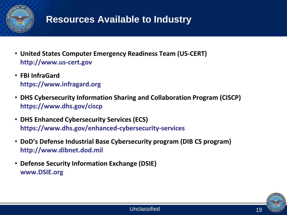

## **Resources Available to Industry**

- **United States Computer Emergency Readiness Team (US-CERT) http://www.us-cert.gov**
- **FBI InfraGard https://www.infragard.org**
- **DHS Cybersecurity Information Sharing and Collaboration Program (CISCP) https://www.dhs.gov/ciscp**
- **DHS Enhanced Cybersecurity Services (ECS) https://www.dhs.gov/enhanced-cybersecurity-services**
- **DoD's Defense Industrial Base Cybersecurity program (DIB CS program) http://www.dibnet.dod.mil**
- **Defense Security Information Exchange (DSIE) www.DSIE.org**